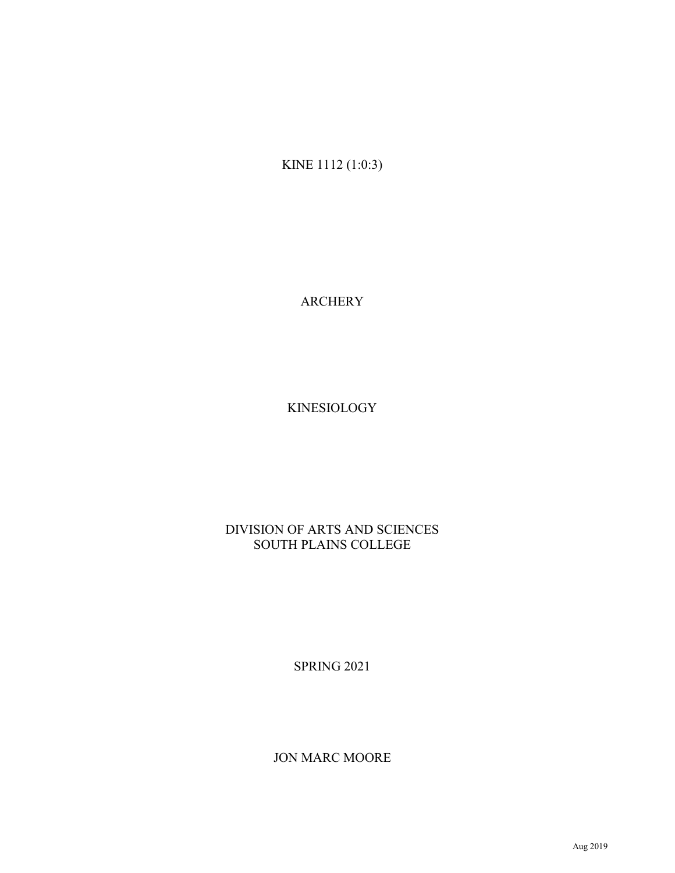KINE 1112 (1:0:3)

ARCHERY

KINESIOLOGY

## DIVISION OF ARTS AND SCIENCES SOUTH PLAINS COLLEGE

SPRING 2021

JON MARC MOORE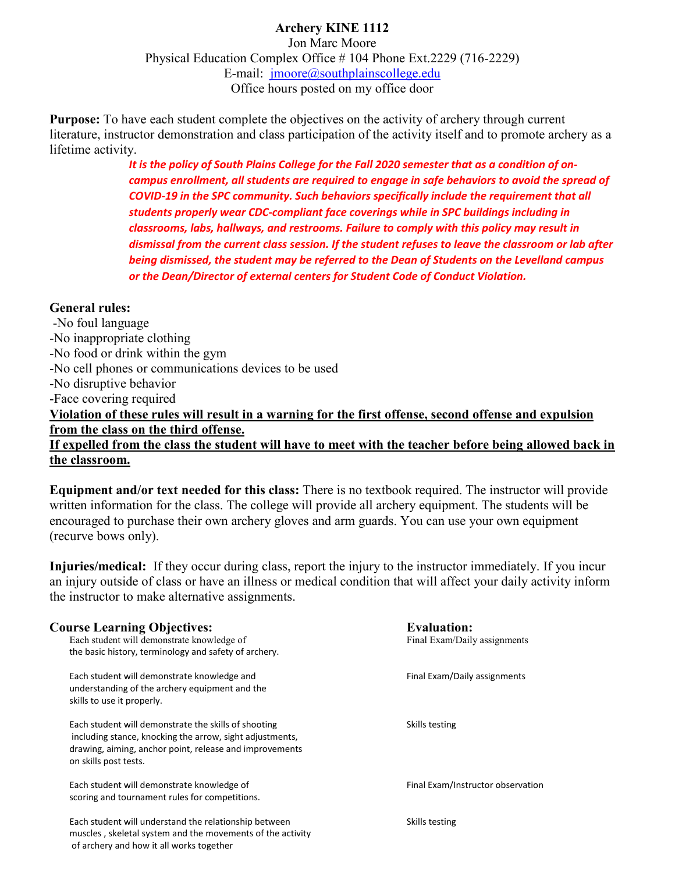## **Archery KINE 1112**

Jon Marc Moore Physical Education Complex Office # 104 Phone Ext.2229 (716-2229) E-mail:  $imover@southplainscollege.edu$ Office hours posted on my office door

**Purpose:** To have each student complete the objectives on the activity of archery through current literature, instructor demonstration and class participation of the activity itself and to promote archery as a lifetime activity.

> *It is the policy of South Plains College for the Fall 2020 semester that as a condition of oncampus enrollment, all students are required to engage in safe behaviors to avoid the spread of COVID-19 in the SPC community. Such behaviors specifically include the requirement that all students properly wear CDC-compliant face coverings while in SPC buildings including in classrooms, labs, hallways, and restrooms. Failure to comply with this policy may result in dismissal from the current class session. If the student refuses to leave the classroom or lab after being dismissed, the student may be referred to the Dean of Students on the Levelland campus or the Dean/Director of external centers for Student Code of Conduct Violation.*

#### **General rules:**

of archery and how it all works together

-No foul language -No inappropriate clothing -No food or drink within the gym -No cell phones or communications devices to be used -No disruptive behavior -Face covering required **Violation of these rules will result in a warning for the first offense, second offense and expulsion from the class on the third offense. If expelled from the class the student will have to meet with the teacher before being allowed back in the classroom.**

**Equipment and/or text needed for this class:** There is no textbook required. The instructor will provide written information for the class. The college will provide all archery equipment. The students will be encouraged to purchase their own archery gloves and arm guards. You can use your own equipment (recurve bows only).

**Injuries/medical:** If they occur during class, report the injury to the instructor immediately. If you incur an injury outside of class or have an illness or medical condition that will affect your daily activity inform the instructor to make alternative assignments.

## **Course Learning Objectives: Evaluation: Evaluation: Evaluation: Exam/Daily assignments Exam/Daily assignments** the basic history, terminology and safety of archery. Each student will demonstrate knowledge and Final Exam/Daily assignments understanding of the archery equipment and the skills to use it properly. Each student will demonstrate the skills of shooting Skills testing Skills testing including stance, knocking the arrow, sight adjustments, drawing, aiming, anchor point, release and improvements on skills post tests. Each student will demonstrate knowledge of Final Exam/Instructor observation scoring and tournament rules for competitions. Each student will understand the relationship between Skills testing muscles , skeletal system and the movements of the activity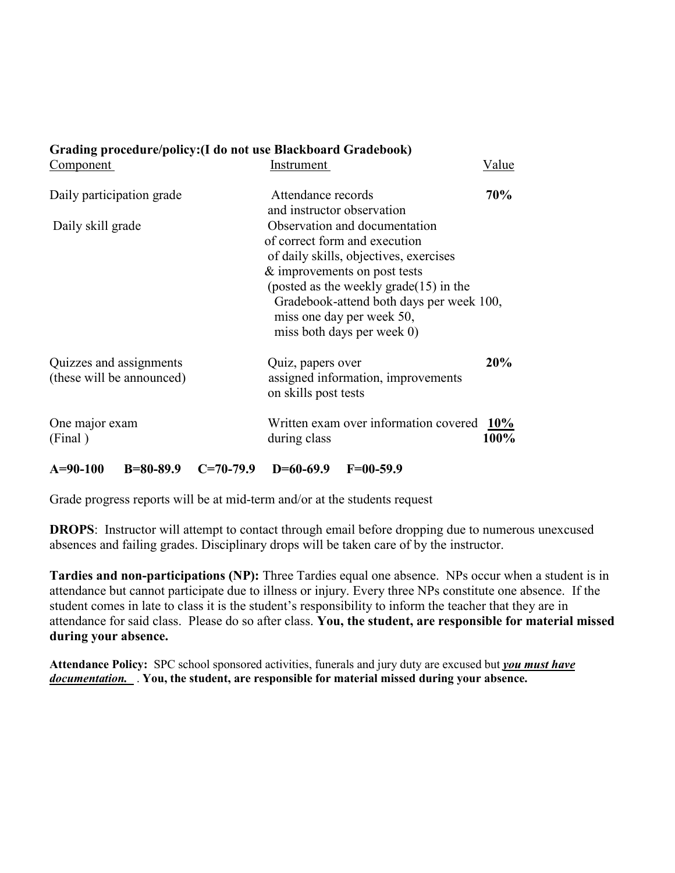| Component                                            | Instrument                                                                                                                                                                                                                                                     | Value |
|------------------------------------------------------|----------------------------------------------------------------------------------------------------------------------------------------------------------------------------------------------------------------------------------------------------------------|-------|
| Daily participation grade                            | Attendance records<br>and instructor observation                                                                                                                                                                                                               | 70%   |
| Daily skill grade                                    | Observation and documentation<br>of correct form and execution<br>of daily skills, objectives, exercises<br>& improvements on post tests<br>(posted as the weekly grade $(15)$ in the<br>Gradebook-attend both days per week 100,<br>miss one day per week 50, |       |
|                                                      | miss both days per week 0)                                                                                                                                                                                                                                     |       |
| Quizzes and assignments<br>(these will be announced) | Quiz, papers over<br>assigned information, improvements<br>on skills post tests                                                                                                                                                                                | 20%   |
| One major exam<br>(Final)                            | Written exam over information covered 10%<br>during class                                                                                                                                                                                                      | 100%  |
|                                                      |                                                                                                                                                                                                                                                                |       |

# **A=90-100 B=80-89.9 C=70-79.9 D=60-69.9 F=00-59.9**

**Grading procedure/policy:(I do not use Blackboard Gradebook)**

Grade progress reports will be at mid-term and/or at the students request

**DROPS**: Instructor will attempt to contact through email before dropping due to numerous unexcused absences and failing grades. Disciplinary drops will be taken care of by the instructor.

**Tardies and non-participations (NP):** Three Tardies equal one absence. NPs occur when a student is in attendance but cannot participate due to illness or injury. Every three NPs constitute one absence. If the student comes in late to class it is the student's responsibility to inform the teacher that they are in attendance for said class. Please do so after class. **You, the student, are responsible for material missed during your absence.** 

**Attendance Policy:** SPC school sponsored activities, funerals and jury duty are excused but *you must have documentation.* . **You, the student, are responsible for material missed during your absence.**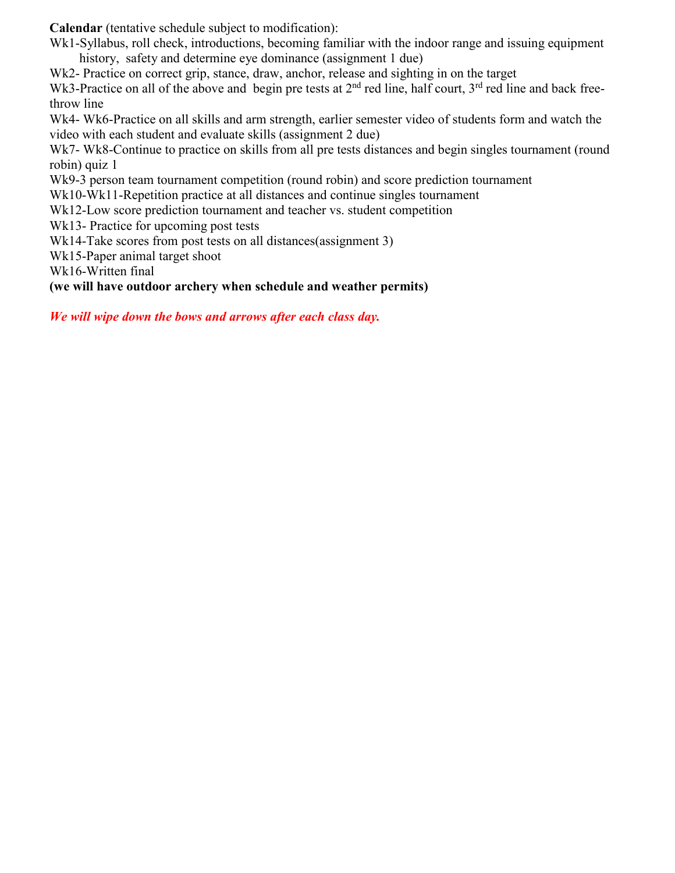**Calendar** (tentative schedule subject to modification):

Wk1-Syllabus, roll check, introductions, becoming familiar with the indoor range and issuing equipment history, safety and determine eye dominance (assignment 1 due)

Wk2- Practice on correct grip, stance, draw, anchor, release and sighting in on the target

Wk3-Practice on all of the above and begin pre tests at  $2<sup>nd</sup>$  red line, half court,  $3<sup>rd</sup>$  red line and back freethrow line

Wk4- Wk6-Practice on all skills and arm strength, earlier semester video of students form and watch the video with each student and evaluate skills (assignment 2 due)

Wk7- Wk8-Continue to practice on skills from all pre tests distances and begin singles tournament (round robin) quiz 1

Wk9-3 person team tournament competition (round robin) and score prediction tournament

Wk10-Wk11-Repetition practice at all distances and continue singles tournament

Wk12-Low score prediction tournament and teacher vs. student competition

Wk13- Practice for upcoming post tests

Wk14-Take scores from post tests on all distances (assignment 3)

Wk15-Paper animal target shoot

Wk16-Written final

### **(we will have outdoor archery when schedule and weather permits)**

*We will wipe down the bows and arrows after each class day.*